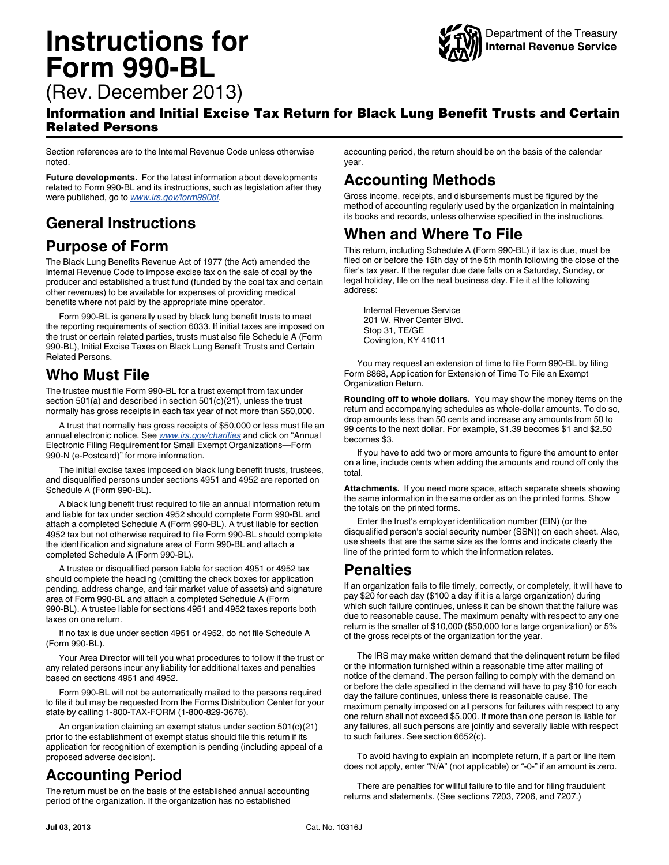## **Instructions for Form 990-BL**



(Rev. December 2013)

#### Information and Initial Excise Tax Return for Black Lung Benefit Trusts and Certain Related Persons

Section references are to the Internal Revenue Code unless otherwise noted.

**Future developments.** For the latest information about developments related to Form 990-BL and its instructions, such as legislation after they were published, go to *[www.irs.gov/form990bl](http://www.irs.gov/form990bl)*.

# **General Instructions**

### **Purpose of Form**

The Black Lung Benefits Revenue Act of 1977 (the Act) amended the Internal Revenue Code to impose excise tax on the sale of coal by the producer and established a trust fund (funded by the coal tax and certain other revenues) to be available for expenses of providing medical benefits where not paid by the appropriate mine operator.

Form 990-BL is generally used by black lung benefit trusts to meet the reporting requirements of section 6033. If initial taxes are imposed on the trust or certain related parties, trusts must also file Schedule A (Form 990-BL), Initial Excise Taxes on Black Lung Benefit Trusts and Certain Related Persons.

### **Who Must File**

The trustee must file Form 990-BL for a trust exempt from tax under section 501(a) and described in section 501(c)(21), unless the trust normally has gross receipts in each tax year of not more than \$50,000.

A trust that normally has gross receipts of \$50,000 or less must file an annual electronic notice. See *[www.irs.gov/charities](http://www.irs.gov/charities/index.html)* and click on "Annual Electronic Filing Requirement for Small Exempt Organizations—Form 990-N (e-Postcard)" for more information.

The initial excise taxes imposed on black lung benefit trusts, trustees, and disqualified persons under sections 4951 and 4952 are reported on Schedule A (Form 990-BL).

A black lung benefit trust required to file an annual information return and liable for tax under section 4952 should complete Form 990-BL and attach a completed Schedule A (Form 990-BL). A trust liable for section 4952 tax but not otherwise required to file Form 990-BL should complete the identification and signature area of Form 990-BL and attach a completed Schedule A (Form 990-BL).

A trustee or disqualified person liable for section 4951 or 4952 tax should complete the heading (omitting the check boxes for application pending, address change, and fair market value of assets) and signature area of Form 990-BL and attach a completed Schedule A (Form 990-BL). A trustee liable for sections 4951 and 4952 taxes reports both taxes on one return.

If no tax is due under section 4951 or 4952, do not file Schedule A (Form 990-BL).

Your Area Director will tell you what procedures to follow if the trust or any related persons incur any liability for additional taxes and penalties based on sections 4951 and 4952.

Form 990-BL will not be automatically mailed to the persons required to file it but may be requested from the Forms Distribution Center for your state by calling 1-800-TAX-FORM (1-800-829-3676).

An organization claiming an exempt status under section 501(c)(21) prior to the establishment of exempt status should file this return if its application for recognition of exemption is pending (including appeal of a proposed adverse decision).

### **Accounting Period**

The return must be on the basis of the established annual accounting period of the organization. If the organization has no established

accounting period, the return should be on the basis of the calendar year.

### **Accounting Methods**

Gross income, receipts, and disbursements must be figured by the method of accounting regularly used by the organization in maintaining its books and records, unless otherwise specified in the instructions.

### **When and Where To File**

This return, including Schedule A (Form 990-BL) if tax is due, must be filed on or before the 15th day of the 5th month following the close of the filer's tax year. If the regular due date falls on a Saturday, Sunday, or legal holiday, file on the next business day. File it at the following address:

Internal Revenue Service 201 W. River Center Blvd. Stop 31, TE/GE Covington, KY 41011

You may request an extension of time to file Form 990-BL by filing Form 8868, Application for Extension of Time To File an Exempt Organization Return.

**Rounding off to whole dollars.** You may show the money items on the return and accompanying schedules as whole-dollar amounts. To do so, drop amounts less than 50 cents and increase any amounts from 50 to 99 cents to the next dollar. For example, \$1.39 becomes \$1 and \$2.50 becomes \$3.

If you have to add two or more amounts to figure the amount to enter on a line, include cents when adding the amounts and round off only the total.

**Attachments.** If you need more space, attach separate sheets showing the same information in the same order as on the printed forms. Show the totals on the printed forms.

Enter the trust's employer identification number (EIN) (or the disqualified person's social security number (SSN)) on each sheet. Also, use sheets that are the same size as the forms and indicate clearly the line of the printed form to which the information relates.

#### **Penalties**

If an organization fails to file timely, correctly, or completely, it will have to pay \$20 for each day (\$100 a day if it is a large organization) during which such failure continues, unless it can be shown that the failure was due to reasonable cause. The maximum penalty with respect to any one return is the smaller of \$10,000 (\$50,000 for a large organization) or 5% of the gross receipts of the organization for the year.

The IRS may make written demand that the delinquent return be filed or the information furnished within a reasonable time after mailing of notice of the demand. The person failing to comply with the demand on or before the date specified in the demand will have to pay \$10 for each day the failure continues, unless there is reasonable cause. The maximum penalty imposed on all persons for failures with respect to any one return shall not exceed \$5,000. If more than one person is liable for any failures, all such persons are jointly and severally liable with respect to such failures. See section 6652(c).

To avoid having to explain an incomplete return, if a part or line item does not apply, enter "N/A" (not applicable) or "-0-" if an amount is zero.

There are penalties for willful failure to file and for filing fraudulent returns and statements. (See sections 7203, 7206, and 7207.)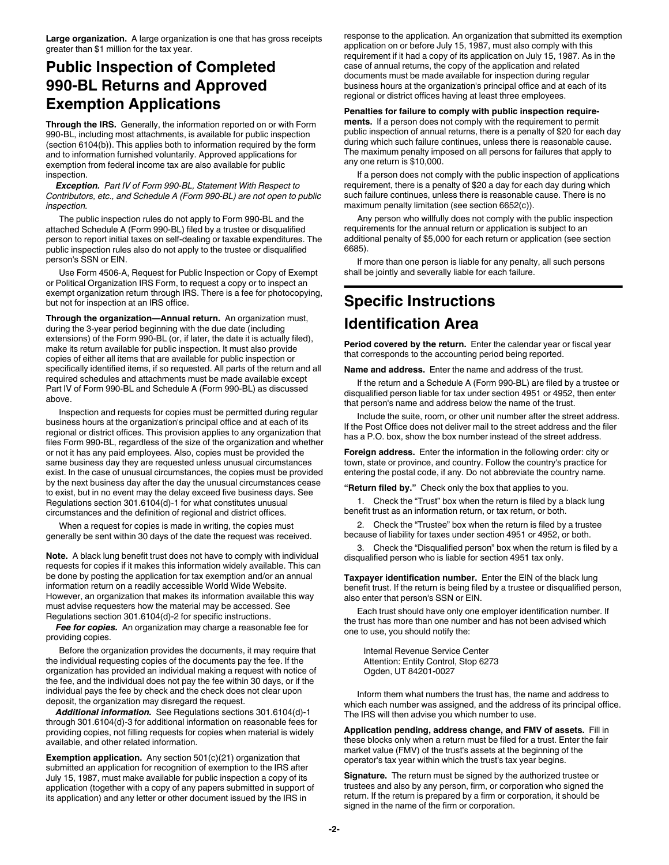**Large organization.** A large organization is one that has gross receipts greater than \$1 million for the tax year.

### **Public Inspection of Completed 990-BL Returns and Approved Exemption Applications**

**Through the IRS.** Generally, the information reported on or with Form 990-BL, including most attachments, is available for public inspection (section 6104(b)). This applies both to information required by the form and to information furnished voluntarily. Approved applications for exemption from federal income tax are also available for public inspection.

*Exception. Part IV of Form 990-BL, Statement With Respect to Contributors, etc., and Schedule A (Form 990-BL) are not open to public inspection.*

The public inspection rules do not apply to Form 990-BL and the attached Schedule A (Form 990-BL) filed by a trustee or disqualified person to report initial taxes on self-dealing or taxable expenditures. The public inspection rules also do not apply to the trustee or disqualified person's SSN or EIN.

Use Form 4506-A, Request for Public Inspection or Copy of Exempt or Political Organization IRS Form, to request a copy or to inspect an exempt organization return through IRS. There is a fee for photocopying, but not for inspection at an IRS office.

**Through the organization—Annual return.** An organization must, during the 3-year period beginning with the due date (including extensions) of the Form 990-BL (or, if later, the date it is actually filed), make its return available for public inspection. It must also provide copies of either all items that are available for public inspection or specifically identified items, if so requested. All parts of the return and all required schedules and attachments must be made available except Part IV of Form 990-BL and Schedule A (Form 990-BL) as discussed above.

Inspection and requests for copies must be permitted during regular business hours at the organization's principal office and at each of its regional or district offices. This provision applies to any organization that files Form 990-BL, regardless of the size of the organization and whether or not it has any paid employees. Also, copies must be provided the same business day they are requested unless unusual circumstances exist. In the case of unusual circumstances, the copies must be provided by the next business day after the day the unusual circumstances cease to exist, but in no event may the delay exceed five business days. See Regulations section 301.6104(d)-1 for what constitutes unusual circumstances and the definition of regional and district offices.

When a request for copies is made in writing, the copies must generally be sent within 30 days of the date the request was received.

**Note.** A black lung benefit trust does not have to comply with individual requests for copies if it makes this information widely available. This can be done by posting the application for tax exemption and/or an annual information return on a readily accessible World Wide Website. However, an organization that makes its information available this way must advise requesters how the material may be accessed. See Regulations section 301.6104(d)-2 for specific instructions.

*Fee for copies.* An organization may charge a reasonable fee for providing copies.

Before the organization provides the documents, it may require that the individual requesting copies of the documents pay the fee. If the organization has provided an individual making a request with notice of the fee, and the individual does not pay the fee within 30 days, or if the individual pays the fee by check and the check does not clear upon deposit, the organization may disregard the request.

*Additional information.* See Regulations sections 301.6104(d)-1 through 301.6104(d)-3 for additional information on reasonable fees for providing copies, not filling requests for copies when material is widely available, and other related information.

**Exemption application.** Any section 501(c)(21) organization that submitted an application for recognition of exemption to the IRS after July 15, 1987, must make available for public inspection a copy of its application (together with a copy of any papers submitted in support of its application) and any letter or other document issued by the IRS in

response to the application. An organization that submitted its exemption application on or before July 15, 1987, must also comply with this requirement if it had a copy of its application on July 15, 1987. As in the case of annual returns, the copy of the application and related documents must be made available for inspection during regular business hours at the organization's principal office and at each of its regional or district offices having at least three employees.

#### **Penalties for failure to comply with public inspection require-**

**ments.** If a person does not comply with the requirement to permit public inspection of annual returns, there is a penalty of \$20 for each day during which such failure continues, unless there is reasonable cause. The maximum penalty imposed on all persons for failures that apply to any one return is \$10,000.

If a person does not comply with the public inspection of applications requirement, there is a penalty of \$20 a day for each day during which such failure continues, unless there is reasonable cause. There is no maximum penalty limitation (see section 6652(c)).

Any person who willfully does not comply with the public inspection requirements for the annual return or application is subject to an additional penalty of \$5,000 for each return or application (see section 6685).

If more than one person is liable for any penalty, all such persons shall be jointly and severally liable for each failure.

## **Specific Instructions Identification Area**

**Period covered by the return.** Enter the calendar year or fiscal year that corresponds to the accounting period being reported.

**Name and address.** Enter the name and address of the trust.

If the return and a Schedule A (Form 990-BL) are filed by a trustee or disqualified person liable for tax under section 4951 or 4952, then enter that person's name and address below the name of the trust.

Include the suite, room, or other unit number after the street address. If the Post Office does not deliver mail to the street address and the filer has a P.O. box, show the box number instead of the street address.

**Foreign address.** Enter the information in the following order: city or town, state or province, and country. Follow the country's practice for entering the postal code, if any. Do not abbreviate the country name.

**"Return filed by."** Check only the box that applies to you.

1. Check the "Trust" box when the return is filed by a black lung benefit trust as an information return, or tax return, or both.

2. Check the "Trustee" box when the return is filed by a trustee because of liability for taxes under section 4951 or 4952, or both.

3. Check the "Disqualified person" box when the return is filed by a disqualified person who is liable for section 4951 tax only.

**Taxpayer identification number.** Enter the EIN of the black lung benefit trust. If the return is being filed by a trustee or disqualified person, also enter that person's SSN or EIN.

Each trust should have only one employer identification number. If the trust has more than one number and has not been advised which one to use, you should notify the:

Internal Revenue Service Center Attention: Entity Control, Stop 6273 Ogden, UT 84201-0027

Inform them what numbers the trust has, the name and address to which each number was assigned, and the address of its principal office. The IRS will then advise you which number to use.

**Application pending, address change, and FMV of assets.** Fill in these blocks only when a return must be filed for a trust. Enter the fair market value (FMV) of the trust's assets at the beginning of the operator's tax year within which the trust's tax year begins.

**Signature.** The return must be signed by the authorized trustee or trustees and also by any person, firm, or corporation who signed the return. If the return is prepared by a firm or corporation, it should be signed in the name of the firm or corporation.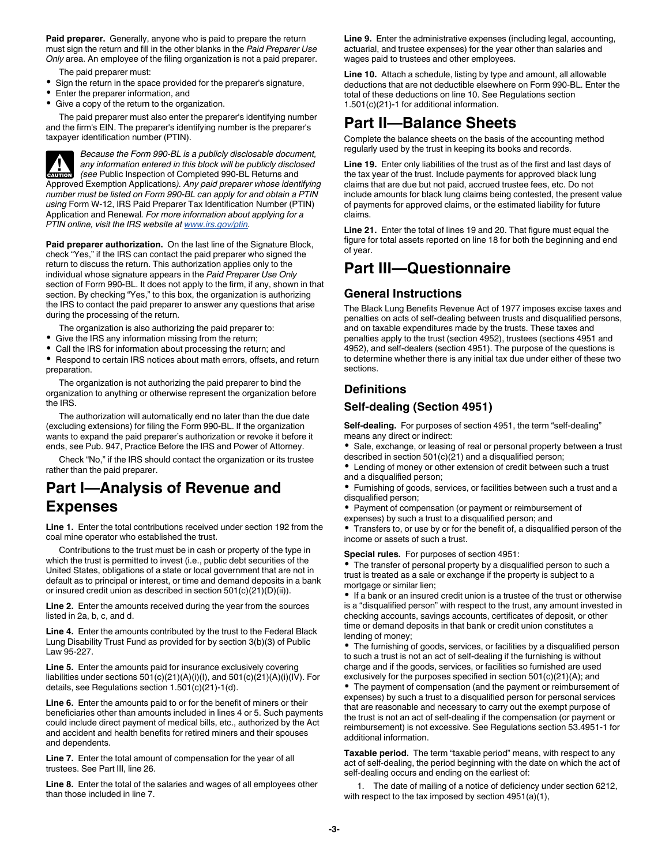Paid preparer. Generally, anyone who is paid to prepare the return must sign the return and fill in the other blanks in the *Paid Preparer Use Only* area. An employee of the filing organization is not a paid preparer.

- The paid preparer must:
- Sign the return in the space provided for the preparer's signature,
- Enter the preparer information, and
- Give a copy of the return to the organization.

The paid preparer must also enter the preparer's identifying number and the firm's EIN. The preparer's identifying number is the preparer's taxpayer identification number (PTIN).



*Because the Form 990-BL is a publicly disclosable document, any information entered in this block will be publicly disclosed (see* Public Inspection of Completed 990-BL Returns and Approved Exemption Applications*). Any paid preparer whose identifying number must be listed on Form 990-BL can apply for and obtain a PTIN using* Form W-12, IRS Paid Preparer Tax Identification Number (PTIN) Application and Renewal*. For more information about applying for a PTIN online, visit the IRS website at [www.irs.gov/ptin.](http://www.irs.gov/ptin)*

**Paid preparer authorization.** On the last line of the Signature Block, check "Yes," if the IRS can contact the paid preparer who signed the return to discuss the return. This authorization applies only to the individual whose signature appears in the *Paid Preparer Use Only*  section of Form 990-BL. It does not apply to the firm, if any, shown in that section. By checking "Yes," to this box, the organization is authorizing the IRS to contact the paid preparer to answer any questions that arise during the processing of the return.

- The organization is also authorizing the paid preparer to:
- Give the IRS any information missing from the return;
- Call the IRS for information about processing the return; and

Respond to certain IRS notices about math errors, offsets, and return preparation.

The organization is not authorizing the paid preparer to bind the organization to anything or otherwise represent the organization before the IRS.

The authorization will automatically end no later than the due date (excluding extensions) for filing the Form 990-BL. If the organization wants to expand the paid preparer's authorization or revoke it before it ends, see Pub. 947, Practice Before the IRS and Power of Attorney.

Check "No," if the IRS should contact the organization or its trustee rather than the paid preparer.

### **Part I—Analysis of Revenue and Expenses**

**Line 1.** Enter the total contributions received under section 192 from the coal mine operator who established the trust.

Contributions to the trust must be in cash or property of the type in which the trust is permitted to invest (i.e., public debt securities of the United States, obligations of a state or local government that are not in default as to principal or interest, or time and demand deposits in a bank or insured credit union as described in section 501(c)(21)(D)(ii)).

**Line 2.** Enter the amounts received during the year from the sources listed in 2a, b, c, and d.

**Line 4.** Enter the amounts contributed by the trust to the Federal Black Lung Disability Trust Fund as provided for by section 3(b)(3) of Public Law 95-227.

**Line 5.** Enter the amounts paid for insurance exclusively covering liabilities under sections 501(c)(21)(A)(i)(I), and 501(c)(21)(A)(i)(IV). For details, see Regulations section 1.501(c)(21)-1(d).

**Line 6.** Enter the amounts paid to or for the benefit of miners or their beneficiaries other than amounts included in lines 4 or 5. Such payments could include direct payment of medical bills, etc., authorized by the Act and accident and health benefits for retired miners and their spouses and dependents.

**Line 7.** Enter the total amount of compensation for the year of all trustees. See Part III, line 26.

**Line 8.** Enter the total of the salaries and wages of all employees other than those included in line 7.

**Line 9.** Enter the administrative expenses (including legal, accounting, actuarial, and trustee expenses) for the year other than salaries and wages paid to trustees and other employees.

**Line 10.** Attach a schedule, listing by type and amount, all allowable deductions that are not deductible elsewhere on Form 990-BL. Enter the total of these deductions on line 10. See Regulations section 1.501(c)(21)-1 for additional information.

### **Part II—Balance Sheets**

Complete the balance sheets on the basis of the accounting method regularly used by the trust in keeping its books and records.

**Line 19.** Enter only liabilities of the trust as of the first and last days of the tax year of the trust. Include payments for approved black lung claims that are due but not paid, accrued trustee fees, etc. Do not include amounts for black lung claims being contested, the present value of payments for approved claims, or the estimated liability for future claims.

**Line 21.** Enter the total of lines 19 and 20. That figure must equal the figure for total assets reported on line 18 for both the beginning and end of year.

### **Part III—Questionnaire**

#### **General Instructions**

The Black Lung Benefits Revenue Act of 1977 imposes excise taxes and penalties on acts of self-dealing between trusts and disqualified persons, and on taxable expenditures made by the trusts. These taxes and penalties apply to the trust (section 4952), trustees (sections 4951 and 4952), and self-dealers (section 4951). The purpose of the questions is to determine whether there is any initial tax due under either of these two sections.

#### **Definitions**

#### **Self-dealing (Section 4951)**

**Self-dealing.** For purposes of section 4951, the term "self-dealing" means any direct or indirect:

• Sale, exchange, or leasing of real or personal property between a trust described in section 501(c)(21) and a disqualified person;

Lending of money or other extension of credit between such a trust and a disqualified person;

Furnishing of goods, services, or facilities between such a trust and a disqualified person;

• Payment of compensation (or payment or reimbursement of expenses) by such a trust to a disqualified person; and

Transfers to, or use by or for the benefit of, a disqualified person of the income or assets of such a trust.

**Special rules.** For purposes of section 4951:

The transfer of personal property by a disqualified person to such a trust is treated as a sale or exchange if the property is subject to a mortgage or similar lien;

If a bank or an insured credit union is a trustee of the trust or otherwise is a "disqualified person" with respect to the trust, any amount invested in checking accounts, savings accounts, certificates of deposit, or other time or demand deposits in that bank or credit union constitutes a lending of money;

The furnishing of goods, services, or facilities by a disqualified person to such a trust is not an act of self-dealing if the furnishing is without charge and if the goods, services, or facilities so furnished are used exclusively for the purposes specified in section 501(c)(21)(A); and

The payment of compensation (and the payment or reimbursement of expenses) by such a trust to a disqualified person for personal services that are reasonable and necessary to carry out the exempt purpose of the trust is not an act of self-dealing if the compensation (or payment or reimbursement) is not excessive. See Regulations section 53.4951-1 for additional information.

**Taxable period.** The term "taxable period" means, with respect to any act of self-dealing, the period beginning with the date on which the act of self-dealing occurs and ending on the earliest of:

1. The date of mailing of a notice of deficiency under section 6212, with respect to the tax imposed by section 4951(a)(1),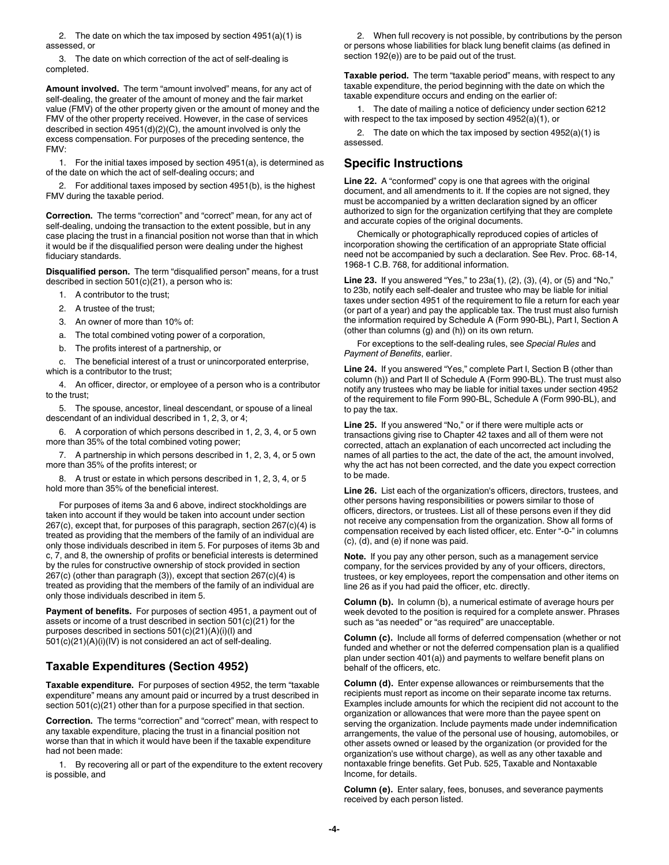2. The date on which the tax imposed by section 4951(a)(1) is assessed, or

3. The date on which correction of the act of self-dealing is completed.

**Amount involved.** The term "amount involved" means, for any act of self-dealing, the greater of the amount of money and the fair market value (FMV) of the other property given or the amount of money and the FMV of the other property received. However, in the case of services described in section 4951(d)(2)(C), the amount involved is only the excess compensation. For purposes of the preceding sentence, the FMV:

1. For the initial taxes imposed by section 4951(a), is determined as of the date on which the act of self-dealing occurs; and

2. For additional taxes imposed by section 4951(b), is the highest FMV during the taxable period.

**Correction.** The terms "correction" and "correct" mean, for any act of self-dealing, undoing the transaction to the extent possible, but in any case placing the trust in a financial position not worse than that in which it would be if the disqualified person were dealing under the highest fiduciary standards.

**Disqualified person.** The term "disqualified person" means, for a trust described in section 501(c)(21), a person who is:

1. A contributor to the trust;

- 2. A trustee of the trust;
- 3. An owner of more than 10% of:
- a. The total combined voting power of a corporation,
- b. The profits interest of a partnership, or

c. The beneficial interest of a trust or unincorporated enterprise, which is a contributor to the trust;

4. An officer, director, or employee of a person who is a contributor to the trust;

5. The spouse, ancestor, lineal descendant, or spouse of a lineal descendant of an individual described in 1, 2, 3, or 4;

6. A corporation of which persons described in 1, 2, 3, 4, or 5 own more than 35% of the total combined voting power;

7. A partnership in which persons described in 1, 2, 3, 4, or 5 own more than 35% of the profits interest; or

8. A trust or estate in which persons described in 1, 2, 3, 4, or 5 hold more than 35% of the beneficial interest.

For purposes of items 3a and 6 above, indirect stockholdings are taken into account if they would be taken into account under section 267(c), except that, for purposes of this paragraph, section 267(c)(4) is treated as providing that the members of the family of an individual are only those individuals described in item 5. For purposes of items 3b and c, 7, and 8, the ownership of profits or beneficial interests is determined by the rules for constructive ownership of stock provided in section 267(c) (other than paragraph (3)), except that section 267(c)(4) is treated as providing that the members of the family of an individual are only those individuals described in item 5.

**Payment of benefits.** For purposes of section 4951, a payment out of assets or income of a trust described in section 501(c)(21) for the purposes described in sections 501(c)(21)(A)(i)(I) and 501(c)(21)(A)(i)(IV) is not considered an act of self-dealing.

#### **Taxable Expenditures (Section 4952)**

**Taxable expenditure.** For purposes of section 4952, the term "taxable expenditure" means any amount paid or incurred by a trust described in section 501(c)(21) other than for a purpose specified in that section.

**Correction.** The terms "correction" and "correct" mean, with respect to any taxable expenditure, placing the trust in a financial position not worse than that in which it would have been if the taxable expenditure had not been made:

1. By recovering all or part of the expenditure to the extent recovery is possible, and

2. When full recovery is not possible, by contributions by the person or persons whose liabilities for black lung benefit claims (as defined in section 192(e)) are to be paid out of the trust.

**Taxable period.** The term "taxable period" means, with respect to any taxable expenditure, the period beginning with the date on which the taxable expenditure occurs and ending on the earlier of:

1. The date of mailing a notice of deficiency under section 6212 with respect to the tax imposed by section 4952(a)(1), or

2. The date on which the tax imposed by section 4952(a)(1) is assessed.

#### **Specific Instructions**

**Line 22.** A "conformed" copy is one that agrees with the original document, and all amendments to it. If the copies are not signed, they must be accompanied by a written declaration signed by an officer authorized to sign for the organization certifying that they are complete and accurate copies of the original documents.

Chemically or photographically reproduced copies of articles of incorporation showing the certification of an appropriate State official need not be accompanied by such a declaration. See Rev. Proc. 68-14, 1968-1 C.B. 768, for additional information.

**Line 23.** If you answered "Yes," to 23a(1), (2), (3), (4), or (5) and "No," to 23b, notify each self-dealer and trustee who may be liable for initial taxes under section 4951 of the requirement to file a return for each year (or part of a year) and pay the applicable tax. The trust must also furnish the information required by Schedule A (Form 990-BL), Part I, Section A (other than columns (g) and (h)) on its own return.

For exceptions to the self-dealing rules, see *Special Rules* and *Payment of Benefits*, earlier.

**Line 24.** If you answered "Yes," complete Part I, Section B (other than column (h)) and Part II of Schedule A (Form 990-BL). The trust must also notify any trustees who may be liable for initial taxes under section 4952 of the requirement to file Form 990-BL, Schedule A (Form 990-BL), and to pay the tax.

**Line 25.** If you answered "No," or if there were multiple acts or transactions giving rise to Chapter 42 taxes and all of them were not corrected, attach an explanation of each uncorrected act including the names of all parties to the act, the date of the act, the amount involved, why the act has not been corrected, and the date you expect correction to be made.

**Line 26.** List each of the organization's officers, directors, trustees, and other persons having responsibilities or powers similar to those of officers, directors, or trustees. List all of these persons even if they did not receive any compensation from the organization. Show all forms of compensation received by each listed officer, etc. Enter "-0-" in columns (c), (d), and (e) if none was paid.

**Note.** If you pay any other person, such as a management service company, for the services provided by any of your officers, directors, trustees, or key employees, report the compensation and other items on line 26 as if you had paid the officer, etc. directly.

**Column (b).** In column (b), a numerical estimate of average hours per week devoted to the position is required for a complete answer. Phrases such as "as needed" or "as required" are unacceptable.

**Column (c).** Include all forms of deferred compensation (whether or not funded and whether or not the deferred compensation plan is a qualified plan under section 401(a)) and payments to welfare benefit plans on behalf of the officers, etc.

**Column (d).** Enter expense allowances or reimbursements that the recipients must report as income on their separate income tax returns. Examples include amounts for which the recipient did not account to the organization or allowances that were more than the payee spent on serving the organization. Include payments made under indemnification arrangements, the value of the personal use of housing, automobiles, or other assets owned or leased by the organization (or provided for the organization's use without charge), as well as any other taxable and nontaxable fringe benefits. Get Pub. 525, Taxable and Nontaxable Income, for details.

**Column (e).** Enter salary, fees, bonuses, and severance payments received by each person listed.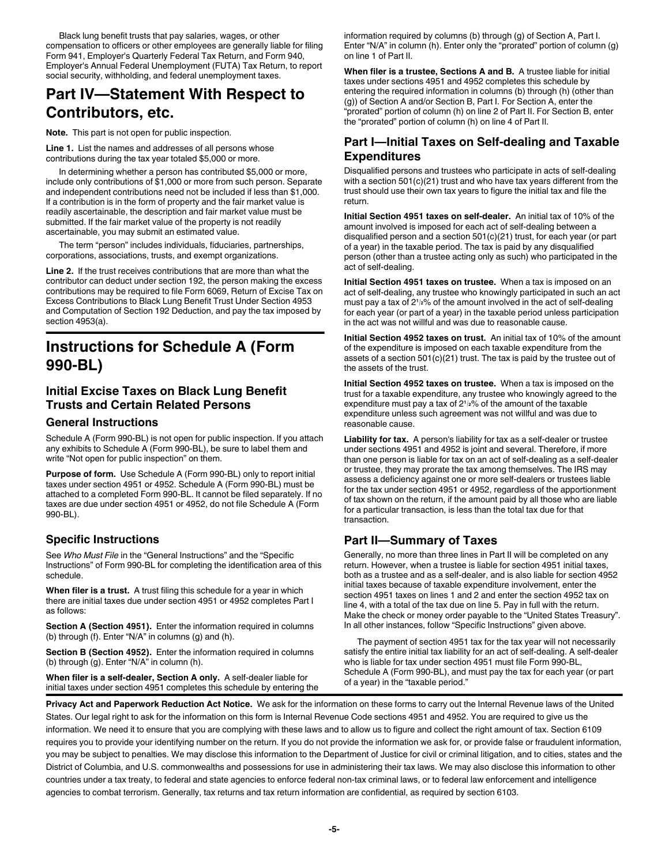Black lung benefit trusts that pay salaries, wages, or other compensation to officers or other employees are generally liable for filing Form 941, Employer's Quarterly Federal Tax Return, and Form 940, Employer's Annual Federal Unemployment (FUTA) Tax Return, to report social security, withholding, and federal unemployment taxes.

### **Part IV—Statement With Respect to Contributors, etc.**

**Note.** This part is not open for public inspection.

**Line 1.** List the names and addresses of all persons whose contributions during the tax year totaled \$5,000 or more.

In determining whether a person has contributed \$5,000 or more, include only contributions of \$1,000 or more from such person. Separate and independent contributions need not be included if less than \$1,000. If a contribution is in the form of property and the fair market value is readily ascertainable, the description and fair market value must be submitted. If the fair market value of the property is not readily ascertainable, you may submit an estimated value.

The term "person" includes individuals, fiduciaries, partnerships, corporations, associations, trusts, and exempt organizations.

**Line 2.** If the trust receives contributions that are more than what the contributor can deduct under section 192, the person making the excess contributions may be required to file Form 6069, Return of Excise Tax on Excess Contributions to Black Lung Benefit Trust Under Section 4953 and Computation of Section 192 Deduction, and pay the tax imposed by section 4953(a).

### **Instructions for Schedule A (Form 990-BL)**

#### **Initial Excise Taxes on Black Lung Benefit Trusts and Certain Related Persons**

#### **General Instructions**

Schedule A (Form 990-BL) is not open for public inspection. If you attach any exhibits to Schedule A (Form 990-BL), be sure to label them and write "Not open for public inspection" on them.

**Purpose of form.** Use Schedule A (Form 990-BL) only to report initial taxes under section 4951 or 4952. Schedule A (Form 990-BL) must be attached to a completed Form 990-BL. It cannot be filed separately. If no taxes are due under section 4951 or 4952, do not file Schedule A (Form 990-BL).

#### **Specific Instructions**

See *Who Must File* in the "General Instructions" and the "Specific Instructions" of Form 990-BL for completing the identification area of this schedule.

**When filer is a trust.** A trust filing this schedule for a year in which there are initial taxes due under section 4951 or 4952 completes Part I as follows:

**Section A (Section 4951).** Enter the information required in columns (b) through (f). Enter "N/A" in columns (g) and (h).

**Section B (Section 4952).** Enter the information required in columns (b) through (g). Enter "N/A" in column (h).

**When filer is a self-dealer, Section A only.** A self-dealer liable for initial taxes under section 4951 completes this schedule by entering the information required by columns (b) through (g) of Section A, Part I. Enter "N/A" in column (h). Enter only the "prorated" portion of column (g) on line 1 of Part II.

**When filer is a trustee, Sections A and B.** A trustee liable for initial taxes under sections 4951 and 4952 completes this schedule by entering the required information in columns (b) through (h) (other than (g)) of Section A and/or Section B, Part I. For Section A, enter the "prorated" portion of column (h) on line 2 of Part II. For Section B, enter the "prorated" portion of column (h) on line 4 of Part II.

#### **Part I—Initial Taxes on Self-dealing and Taxable Expenditures**

Disqualified persons and trustees who participate in acts of self-dealing with a section 501(c)(21) trust and who have tax years different from the trust should use their own tax years to figure the initial tax and file the return.

**Initial Section 4951 taxes on self-dealer.** An initial tax of 10% of the amount involved is imposed for each act of self-dealing between a disqualified person and a section 501(c)(21) trust, for each year (or part of a year) in the taxable period. The tax is paid by any disqualified person (other than a trustee acting only as such) who participated in the act of self-dealing.

**Initial Section 4951 taxes on trustee.** When a tax is imposed on an act of self-dealing, any trustee who knowingly participated in such an act must pay a tax of 2**<sup>1</sup> <sup>2</sup>**% of the amount involved in the act of self-dealing for each year (or part of a year) in the taxable period unless participation in the act was not willful and was due to reasonable cause.

**Initial Section 4952 taxes on trust.** An initial tax of 10% of the amount of the expenditure is imposed on each taxable expenditure from the assets of a section 501(c)(21) trust. The tax is paid by the trustee out of the assets of the trust.

**Initial Section 4952 taxes on trustee.** When a tax is imposed on the trust for a taxable expenditure, any trustee who knowingly agreed to the expenditure must pay a tax of 2**<sup>1</sup> <sup>2</sup>**% of the amount of the taxable expenditure unless such agreement was not willful and was due to reasonable cause.

**Liability for tax.** A person's liability for tax as a self-dealer or trustee under sections 4951 and 4952 is joint and several. Therefore, if more than one person is liable for tax on an act of self-dealing as a self-dealer or trustee, they may prorate the tax among themselves. The IRS may assess a deficiency against one or more self-dealers or trustees liable for the tax under section 4951 or 4952, regardless of the apportionment of tax shown on the return, if the amount paid by all those who are liable for a particular transaction, is less than the total tax due for that transaction.

#### **Part II—Summary of Taxes**

Generally, no more than three lines in Part II will be completed on any return. However, when a trustee is liable for section 4951 initial taxes, both as a trustee and as a self-dealer, and is also liable for section 4952 initial taxes because of taxable expenditure involvement, enter the section 4951 taxes on lines 1 and 2 and enter the section 4952 tax on line 4, with a total of the tax due on line 5. Pay in full with the return. Make the check or money order payable to the "United States Treasury". In all other instances, follow "Specific Instructions" given above.

The payment of section 4951 tax for the tax year will not necessarily satisfy the entire initial tax liability for an act of self-dealing. A self-dealer who is liable for tax under section 4951 must file Form 990-BL, Schedule A (Form 990-BL), and must pay the tax for each year (or part of a year) in the "taxable period."

**Privacy Act and Paperwork Reduction Act Notice.** We ask for the information on these forms to carry out the Internal Revenue laws of the United States. Our legal right to ask for the information on this form is Internal Revenue Code sections 4951 and 4952. You are required to give us the information. We need it to ensure that you are complying with these laws and to allow us to figure and collect the right amount of tax. Section 6109 requires you to provide your identifying number on the return. If you do not provide the information we ask for, or provide false or fraudulent information, you may be subject to penalties. We may disclose this information to the Department of Justice for civil or criminal litigation, and to cities, states and the District of Columbia, and U.S. commonwealths and possessions for use in administering their tax laws. We may also disclose this information to other countries under a tax treaty, to federal and state agencies to enforce federal non-tax criminal laws, or to federal law enforcement and intelligence agencies to combat terrorism. Generally, tax returns and tax return information are confidential, as required by section 6103.